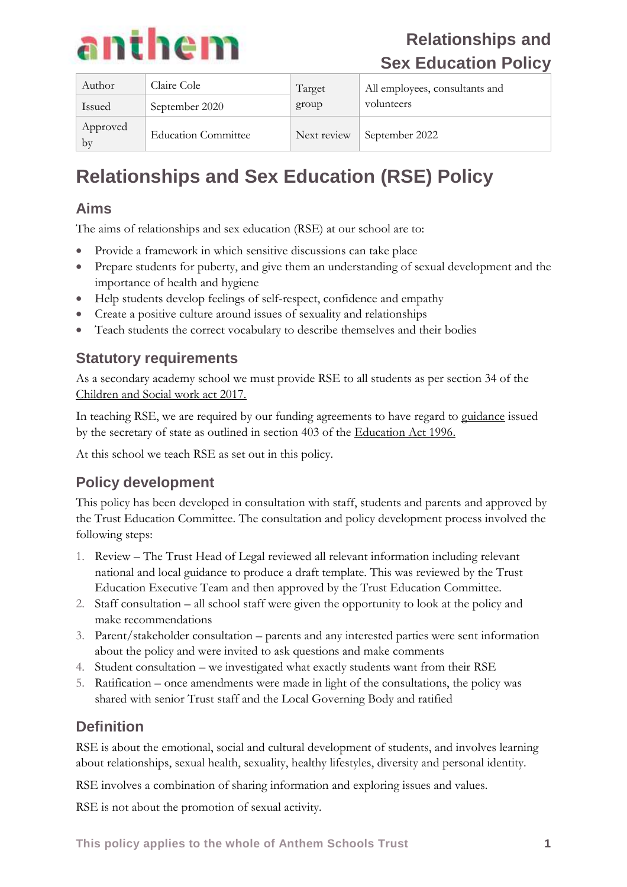

| Author         | Claire Cole                | Target      | All employees, consultants and |
|----------------|----------------------------|-------------|--------------------------------|
| Issued         | September 2020             | group       | volunteers                     |
| Approved<br>by | <b>Education Committee</b> | Next review | September 2022                 |

# **Relationships and Sex Education (RSE) Policy**

## **Aims**

The aims of relationships and sex education (RSE) at our school are to:

- Provide a framework in which sensitive discussions can take place
- Prepare students for puberty, and give them an understanding of sexual development and the importance of health and hygiene
- Help students develop feelings of self-respect, confidence and empathy
- Create a positive culture around issues of sexuality and relationships
- Teach students the correct vocabulary to describe themselves and their bodies

## **Statutory requirements**

As a secondary academy school we must provide RSE to all students as per section 34 of the [Children and Social work act 2017.](http://www.legislation.gov.uk/ukpga/2017/16/section/34/enacted)

In teaching RSE, we are required by our funding agreements to have regard to [guidance](https://www.gov.uk/government/consultations/relationships-and-sex-education-and-health-education) issued by the secretary of state as outlined in section 403 of the [Education Act 1996.](http://www.legislation.gov.uk/ukpga/1996/56/contents)

At this school we teach RSE as set out in this policy.

## **Policy development**

This policy has been developed in consultation with staff, students and parents and approved by the Trust Education Committee. The consultation and policy development process involved the following steps:

- 1. Review The Trust Head of Legal reviewed all relevant information including relevant national and local guidance to produce a draft template. This was reviewed by the Trust Education Executive Team and then approved by the Trust Education Committee.
- 2. Staff consultation all school staff were given the opportunity to look at the policy and make recommendations
- 3. Parent/stakeholder consultation parents and any interested parties were sent information about the policy and were invited to ask questions and make comments
- 4. Student consultation we investigated what exactly students want from their RSE
- 5. Ratification once amendments were made in light of the consultations, the policy was shared with senior Trust staff and the Local Governing Body and ratified

### **Definition**

RSE is about the emotional, social and cultural development of students, and involves learning about relationships, sexual health, sexuality, healthy lifestyles, diversity and personal identity.

RSE involves a combination of sharing information and exploring issues and values.

RSE is not about the promotion of sexual activity.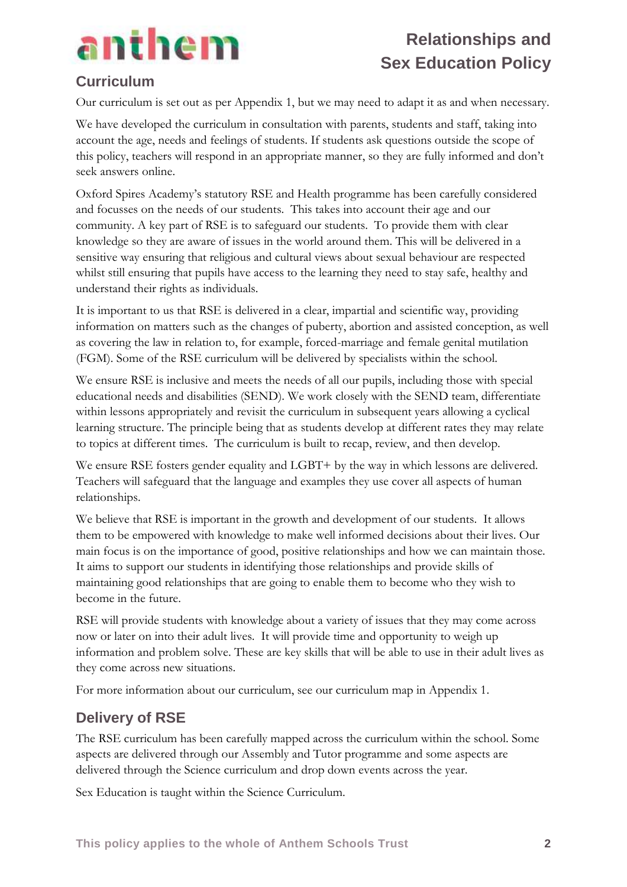

## **Curriculum**

Our curriculum is set out as per Appendix 1, but we may need to adapt it as and when necessary.

We have developed the curriculum in consultation with parents, students and staff, taking into account the age, needs and feelings of students. If students ask questions outside the scope of this policy, teachers will respond in an appropriate manner, so they are fully informed and don't seek answers online.

Oxford Spires Academy's statutory RSE and Health programme has been carefully considered and focusses on the needs of our students. This takes into account their age and our community. A key part of RSE is to safeguard our students. To provide them with clear knowledge so they are aware of issues in the world around them. This will be delivered in a sensitive way ensuring that religious and cultural views about sexual behaviour are respected whilst still ensuring that pupils have access to the learning they need to stay safe, healthy and understand their rights as individuals.

It is important to us that RSE is delivered in a clear, impartial and scientific way, providing information on matters such as the changes of puberty, abortion and assisted conception, as well as covering the law in relation to, for example, forced-marriage and female genital mutilation (FGM). Some of the RSE curriculum will be delivered by specialists within the school.

We ensure RSE is inclusive and meets the needs of all our pupils, including those with special educational needs and disabilities (SEND). We work closely with the SEND team, differentiate within lessons appropriately and revisit the curriculum in subsequent years allowing a cyclical learning structure. The principle being that as students develop at different rates they may relate to topics at different times. The curriculum is built to recap, review, and then develop.

We ensure RSE fosters gender equality and LGBT+ by the way in which lessons are delivered. Teachers will safeguard that the language and examples they use cover all aspects of human relationships.

We believe that RSE is important in the growth and development of our students. It allows them to be empowered with knowledge to make well informed decisions about their lives. Our main focus is on the importance of good, positive relationships and how we can maintain those. It aims to support our students in identifying those relationships and provide skills of maintaining good relationships that are going to enable them to become who they wish to become in the future.

RSE will provide students with knowledge about a variety of issues that they may come across now or later on into their adult lives. It will provide time and opportunity to weigh up information and problem solve. These are key skills that will be able to use in their adult lives as they come across new situations.

For more information about our curriculum, see our curriculum map in Appendix 1.

### **Delivery of RSE**

The RSE curriculum has been carefully mapped across the curriculum within the school. Some aspects are delivered through our Assembly and Tutor programme and some aspects are delivered through the Science curriculum and drop down events across the year.

Sex Education is taught within the Science Curriculum.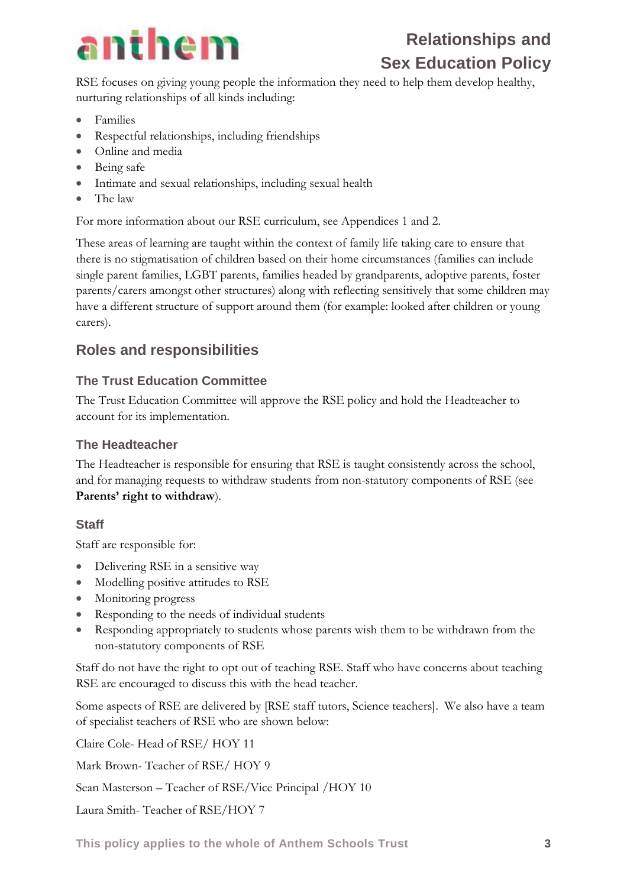

RSE focuses on giving young people the information they need to help them develop healthy, nurturing relationships of all kinds including:

- Families
- Respectful relationships, including friendships
- Online and media
- Being safe
- Intimate and sexual relationships, including sexual health
- The law

For more information about our RSE curriculum, see Appendices 1 and 2.

These areas of learning are taught within the context of family life taking care to ensure that there is no stigmatisation of children based on their home circumstances (families can include single parent families, LGBT parents, families headed by grandparents, adoptive parents, foster parents/carers amongst other structures) along with reflecting sensitively that some children may have a different structure of support around them (for example: looked after children or young carers).

## **Roles and responsibilities**

#### **The Trust Education Committee**

The Trust Education Committee will approve the RSE policy and hold the Headteacher to account for its implementation.

#### **The Headteacher**

The Headteacher is responsible for ensuring that RSE is taught consistently across the school, and for managing requests to withdraw students from non-statutory components of RSE (see **Parents' right to withdraw**).

#### **Staff**

Staff are responsible for:

- Delivering RSE in a sensitive way
- Modelling positive attitudes to RSE
- Monitoring progress
- Responding to the needs of individual students
- Responding appropriately to students whose parents wish them to be withdrawn from the non-statutory components of RSE

Staff do not have the right to opt out of teaching RSE. Staff who have concerns about teaching RSE are encouraged to discuss this with the head teacher.

Some aspects of RSE are delivered by [RSE staff tutors, Science teachers]. We also have a team of specialist teachers of RSE who are shown below:

Claire Cole- Head of RSE/ HOY 11 Mark Brown- Teacher of RSE/ HOY 9 Sean Masterson – Teacher of RSE/Vice Principal /HOY 10 Laura Smith- Teacher of RSE/HOY 7